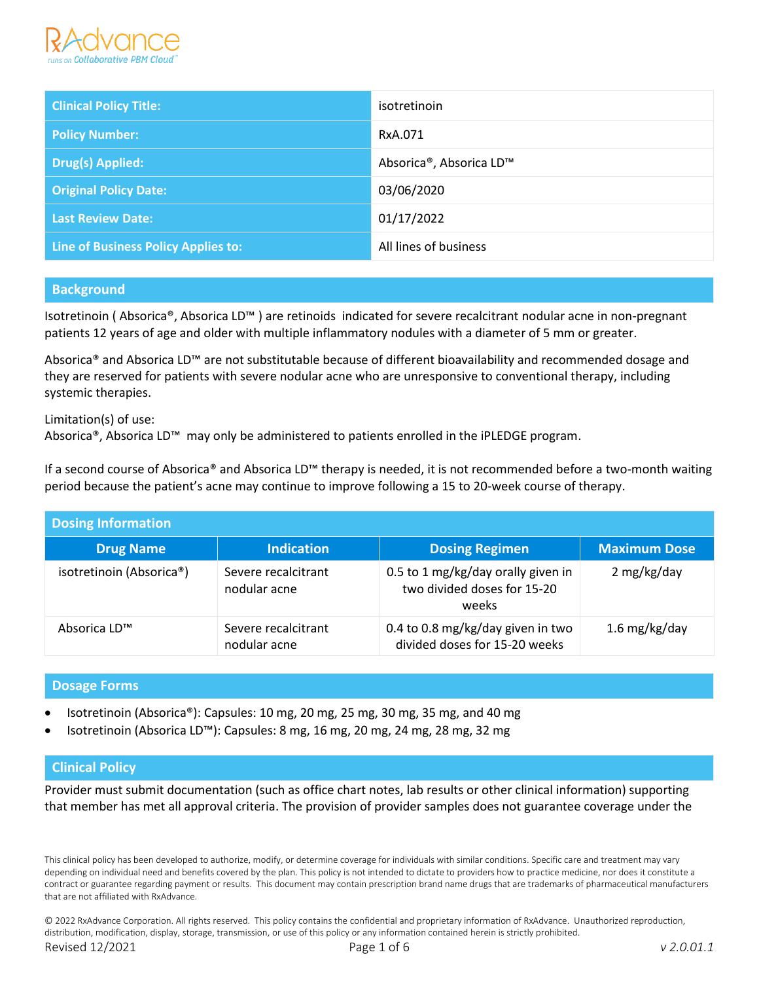

| <b>Clinical Policy Title:</b>              | isotretinoin            |
|--------------------------------------------|-------------------------|
| <b>Policy Number:</b>                      | RxA.071                 |
| Drug(s) Applied:                           | Absorica®, Absorica LD™ |
| <b>Original Policy Date:</b>               | 03/06/2020              |
| <b>Last Review Date:</b>                   | 01/17/2022              |
| <b>Line of Business Policy Applies to:</b> | All lines of business   |

### **Background**

Isotretinoin ( Absorica®, Absorica LD™ ) are retinoids indicated for severe recalcitrant nodular acne in non-pregnant patients 12 years of age and older with multiple inflammatory nodules with a diameter of 5 mm or greater.

Absorica® and Absorica LD™ are not substitutable because of different bioavailability and recommended dosage and they are reserved for patients with severe nodular acne who are unresponsive to conventional therapy, including systemic therapies.

Limitation(s) of use: Absorica®, Absorica LD™ may only be administered to patients enrolled in the iPLEDGE program.

If a second course of Absorica® and Absorica LD™ therapy is needed, it is not recommended before a two-month waiting period because the patient's acne may continue to improve following a 15 to 20-week course of therapy.

| <b>Dosing Information</b> |                                     |                                                                            |                     |
|---------------------------|-------------------------------------|----------------------------------------------------------------------------|---------------------|
| <b>Drug Name</b>          | <b>Indication</b>                   | <b>Dosing Regimen</b>                                                      | <b>Maximum Dose</b> |
| isotretinoin (Absorica®)  | Severe recalcitrant<br>nodular acne | 0.5 to 1 mg/kg/day orally given in<br>two divided doses for 15-20<br>weeks | 2 mg/kg/day         |
| Absorica LD™              | Severe recalcitrant<br>nodular acne | 0.4 to 0.8 mg/kg/day given in two<br>divided doses for 15-20 weeks         | 1.6 mg/kg/day       |

### **Dosage Forms**

- Isotretinoin (Absorica®): Capsules: 10 mg, 20 mg, 25 mg, 30 mg, 35 mg, and 40 mg
- Isotretinoin (Absorica LD™): Capsules: 8 mg, 16 mg, 20 mg, 24 mg, 28 mg, 32 mg

# **Clinical Policy**

Provider must submit documentation (such as office chart notes, lab results or other clinical information) supporting that member has met all approval criteria. The provision of provider samples does not guarantee coverage under the

This clinical policy has been developed to authorize, modify, or determine coverage for individuals with similar conditions. Specific care and treatment may vary depending on individual need and benefits covered by the plan. This policy is not intended to dictate to providers how to practice medicine, nor does it constitute a contract or guarantee regarding payment or results. This document may contain prescription brand name drugs that are trademarks of pharmaceutical manufacturers that are not affiliated with RxAdvance.

© 2022 RxAdvance Corporation. All rights reserved. This policy contains the confidential and proprietary information of RxAdvance. Unauthorized reproduction, distribution, modification, display, storage, transmission, or use of this policy or any information contained herein is strictly prohibited. Revised 12/2021 Page 1 of 6 *v 2.0.01.1*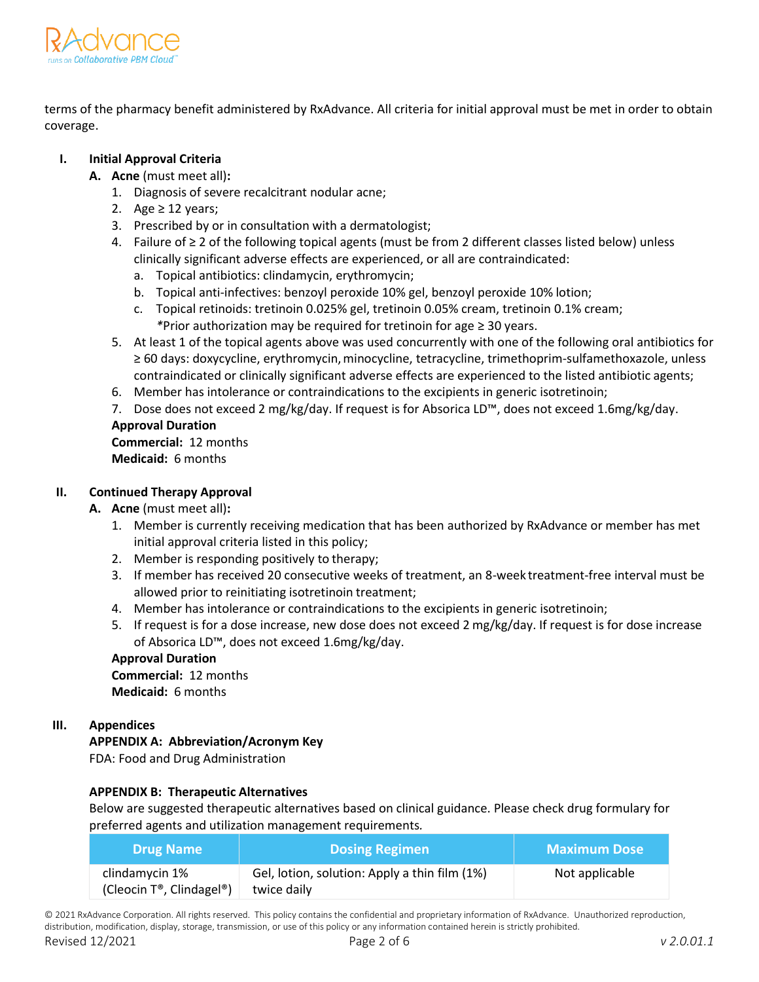

terms of the pharmacy benefit administered by RxAdvance. All criteria for initial approval must be met in order to obtain coverage.

# **I. Initial Approval Criteria**

- **A. Acne** (must meet all)**:**
	- 1. Diagnosis of severe recalcitrant nodular acne;
	- 2. Age  $\geq$  12 years;
	- 3. Prescribed by or in consultation with a dermatologist;
	- 4. Failure of ≥ 2 of the following topical agents (must be from 2 different classes listed below) unless clinically significant adverse effects are experienced, or all are contraindicated:
		- a. Topical antibiotics: clindamycin, erythromycin;
		- b. Topical anti-infectives: benzoyl peroxide 10% gel, benzoyl peroxide 10% lotion;
		- c. Topical retinoids: tretinoin 0.025% gel, tretinoin 0.05% cream, tretinoin 0.1% cream; *\**Prior authorization may be required for tretinoin for age ≥ 30 years.
	- 5. At least 1 of the topical agents above was used concurrently with one of the following oral antibiotics for ≥ 60 days: doxycycline, erythromycin, minocycline, tetracycline, trimethoprim-sulfamethoxazole, unless contraindicated or clinically significant adverse effects are experienced to the listed antibiotic agents;
	- 6. Member has intolerance or contraindications to the excipients in generic isotretinoin;
	- 7. Dose does not exceed 2 mg/kg/day. If request is for Absorica LD™, does not exceed 1.6mg/kg/day.

### **Approval Duration**

**Commercial:** 12 months **Medicaid:** 6 months

# **II. Continued Therapy Approval**

- **A. Acne** (must meet all)**:**
	- 1. Member is currently receiving medication that has been authorized by RxAdvance or member has met initial approval criteria listed in this policy;
	- 2. Member is responding positively to therapy;
	- 3. If member has received 20 consecutive weeks of treatment, an 8-week treatment-free interval must be allowed prior to reinitiating isotretinoin treatment;
	- 4. Member has intolerance or contraindications to the excipients in generic isotretinoin;
	- 5. If request is for a dose increase, new dose does not exceed 2 mg/kg/day. If request is for dose increase of Absorica LD™, does not exceed 1.6mg/kg/day.

# **Approval Duration**

**Commercial:** 12 months **Medicaid:** 6 months

### **III. Appendices**

**APPENDIX A: Abbreviation/Acronym Key**

FDA: Food and Drug Administration

### **APPENDIX B: Therapeutic Alternatives**

Below are suggested therapeutic alternatives based on clinical guidance. Please check drug formulary for preferred agents and utilization management requirements*.*

| <b>Drug Name</b>                           | <b>Dosing Regimen</b>                                        | <b>Maximum Dose</b> |
|--------------------------------------------|--------------------------------------------------------------|---------------------|
| clindamycin 1%<br>(Cleocin T®, Clindagel®) | Gel, lotion, solution: Apply a thin film (1%)<br>twice daily | Not applicable      |

© 2021 RxAdvance Corporation. All rights reserved. This policy contains the confidential and proprietary information of RxAdvance. Unauthorized reproduction, distribution, modification, display, storage, transmission, or use of this policy or any information contained herein is strictly prohibited.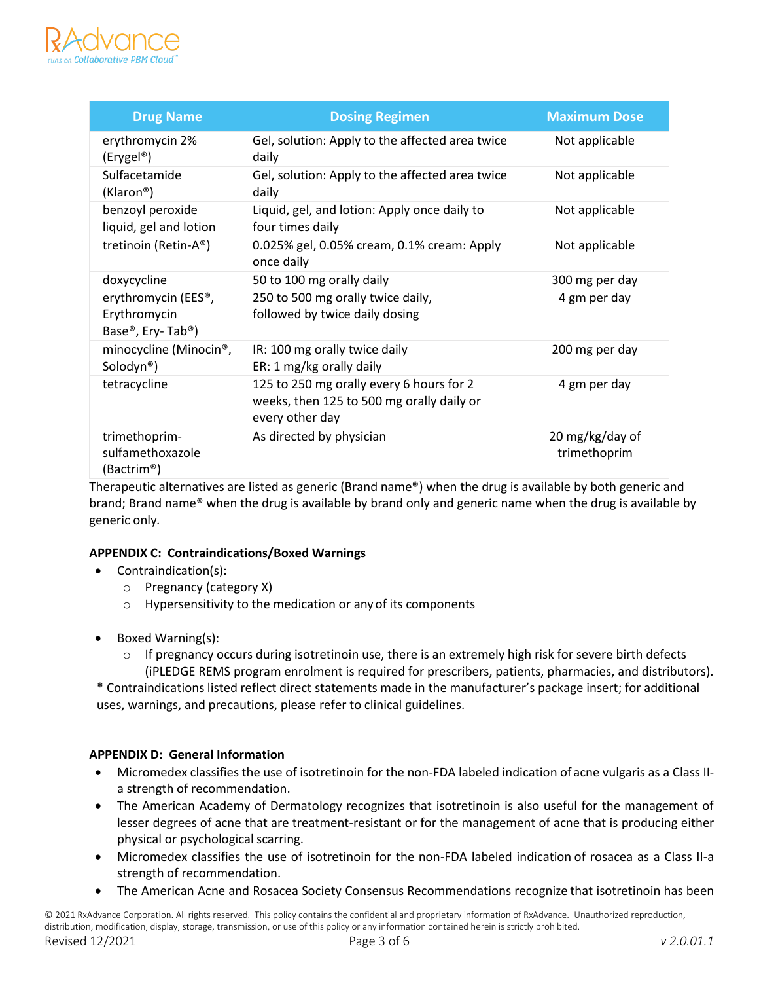

| <b>Drug Name</b>                                              | <b>Dosing Regimen</b>                                                                                    | <b>Maximum Dose</b>             |
|---------------------------------------------------------------|----------------------------------------------------------------------------------------------------------|---------------------------------|
| erythromycin 2%<br>(Erygel <sup>®</sup> )                     | Gel, solution: Apply to the affected area twice<br>daily                                                 | Not applicable                  |
| Sulfacetamide<br>(Klaron <sup>®</sup> )                       | Gel, solution: Apply to the affected area twice<br>daily                                                 | Not applicable                  |
| benzoyl peroxide<br>liquid, gel and lotion                    | Liquid, gel, and lotion: Apply once daily to<br>four times daily                                         | Not applicable                  |
| tretinoin (Retin-A®)                                          | 0.025% gel, 0.05% cream, 0.1% cream: Apply<br>once daily                                                 | Not applicable                  |
| doxycycline                                                   | 50 to 100 mg orally daily                                                                                | 300 mg per day                  |
| erythromycin (EES®,<br>Erythromycin<br>Base®, Ery-Tab®)       | 250 to 500 mg orally twice daily,<br>followed by twice daily dosing                                      | 4 gm per day                    |
| minocycline (Minocin <sup>®</sup> ,<br>Solodyn <sup>®</sup> ) | IR: 100 mg orally twice daily<br>ER: 1 mg/kg orally daily                                                | 200 mg per day                  |
| tetracycline                                                  | 125 to 250 mg orally every 6 hours for 2<br>weeks, then 125 to 500 mg orally daily or<br>every other day | 4 gm per day                    |
| trimethoprim-<br>sulfamethoxazole<br>(Bactrim®)               | As directed by physician                                                                                 | 20 mg/kg/day of<br>trimethoprim |

Therapeutic alternatives are listed as generic (Brand name®) when the drug is available by both generic and brand; Brand name® when the drug is available by brand only and generic name when the drug is available by generic only*.*

### **APPENDIX C: Contraindications/Boxed Warnings**

- Contraindication(s):
	- o Pregnancy (category X)
	- o Hypersensitivity to the medication or any of its components
- Boxed Warning(s):
	- $\circ$  If pregnancy occurs during isotretinoin use, there is an extremely high risk for severe birth defects (iPLEDGE REMS program enrolment is required for prescribers, patients, pharmacies, and distributors).

\* Contraindications listed reflect direct statements made in the manufacturer's package insert; for additional uses, warnings, and precautions, please refer to clinical guidelines.

### **APPENDIX D: General Information**

- Micromedex classifies the use of isotretinoin for the non-FDA labeled indication of acne vulgaris as a Class IIa strength of recommendation.
- The American Academy of Dermatology recognizes that isotretinoin is also useful for the management of lesser degrees of acne that are treatment-resistant or for the management of acne that is producing either physical or psychological scarring.
- Micromedex classifies the use of isotretinoin for the non-FDA labeled indication of rosacea as a Class II-a strength of recommendation.
- The American Acne and Rosacea Society Consensus Recommendations recognize that isotretinoin has been

© 2021 RxAdvance Corporation. All rights reserved. This policy contains the confidential and proprietary information of RxAdvance. Unauthorized reproduction, distribution, modification, display, storage, transmission, or use of this policy or any information contained herein is strictly prohibited. Revised 12/2021 Page 3 of 6 *v 2.0.01.1*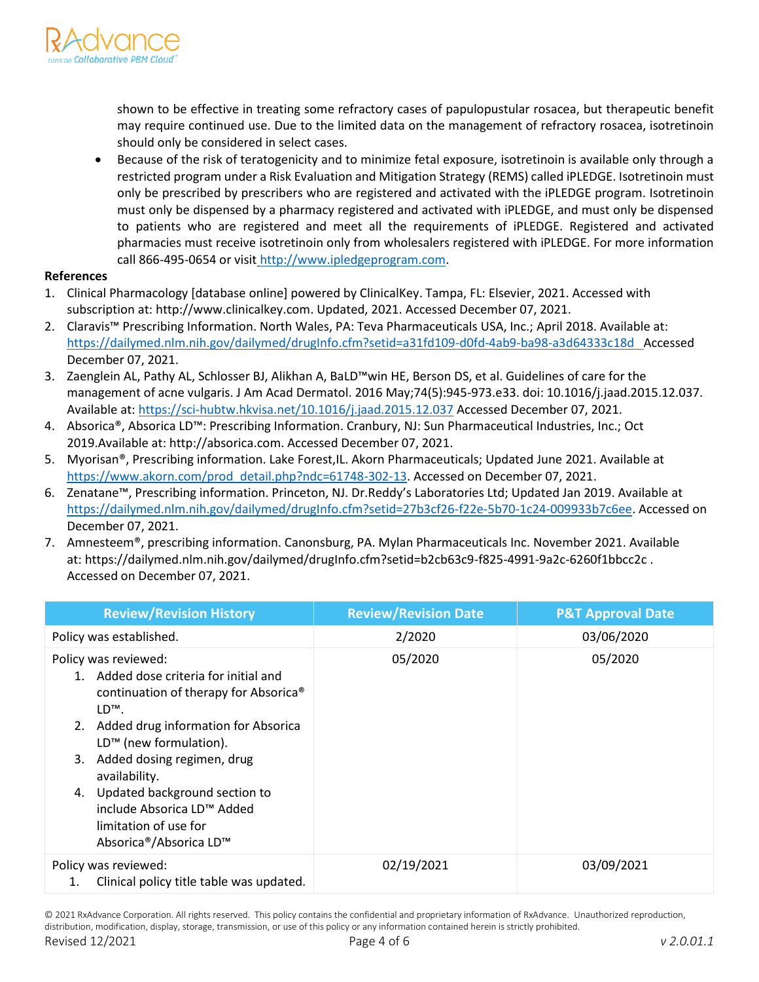

shown to be effective in treating some refractory cases of papulopustular rosacea, but therapeutic benefit may require continued use. Due to the limited data on the management of refractory rosacea, isotretinoin should only be considered in select cases.

• Because of the risk of teratogenicity and to minimize fetal exposure, isotretinoin is available only through a restricted program under a Risk Evaluation and Mitigation Strategy (REMS) called iPLEDGE. Isotretinoin must only be prescribed by prescribers who are registered and activated with the iPLEDGE program. Isotretinoin must only be dispensed by a pharmacy registered and activated with iPLEDGE, and must only be dispensed to patients who are registered and meet all the requirements of iPLEDGE. Registered and activated pharmacies must receive isotretinoin only from wholesalers registered with iPLEDGE. For more information call 866-495-0654 or visit [http://www.ipledgeprogram.com.](http://www.ipledgeprogram.com/)

#### **References**

- 1. Clinical Pharmacology [database online] powered by ClinicalKey. Tampa, FL: Elsevier, 2021. Accessed with subscription at: http://www.clinicalkey.com. Updated, 2021. Accessed December 07, 2021.
- 2. Claravis™ Prescribing Information. North Wales, PA: Teva Pharmaceuticals USA, Inc.; April 2018. Available at[:](https://dailymed.nlm.nih.gov/dailymed/drugInfo.cfm?setid=ee862463-77c0-4694-bba8-97274f13963f%20%20)  [https://dailymed.nlm.nih.gov/dailymed/drugInfo.cfm?setid=a31fd109-d0fd-4ab9-ba98-a3d64333c18d A](https://dailymed.nlm.nih.gov/dailymed/drugInfo.cfm?setid=ee862463-77c0-4694-bba8-97274f13963f%20%20)ccessed December 07, 2021.
- 3. Zaenglein AL, Pathy AL, Schlosser BJ, Alikhan A, BaLD™win HE, Berson DS, et al. Guidelines of care for the management of acne vulgaris. J Am Acad Dermatol. 2016 May;74(5):945-973.e33. doi: 10.1016/j.jaad.2015.12.037. Available at: <https://sci-hubtw.hkvisa.net/10.1016/j.jaad.2015.12.037> Accessed December 07, 2021.
- 4. Absorica®, Absorica LD™: Prescribing Information. Cranbury, NJ: Sun Pharmaceutical Industries, Inc.; Oct 2019.Available at: http://absorica.com. Accessed December 07, 2021.
- 5. Myorisan®, Prescribing information. Lake Forest,IL. Akorn Pharmaceuticals; Updated June 2021. Available at [https://www.akorn.com/prod\\_detail.php?ndc=61748-302-13.](https://www.akorn.com/prod_detail.php?ndc=61748-302-13) Accessed on December 07, 2021.
- 6. Zenatane™, Prescribing information. Princeton, NJ. Dr.Reddy's Laboratories Ltd; Updated Jan 2019. Available at [https://dailymed.nlm.nih.gov/dailymed/drugInfo.cfm?setid=27b3cf26-f22e-5b70-1c24-009933b7c6ee.](https://dailymed.nlm.nih.gov/dailymed/drugInfo.cfm?setid=27b3cf26-f22e-5b70-1c24-009933b7c6ee) Accessed on December 07, 2021.
- 7. Amnesteem®, prescribing information. Canonsburg, PA. Mylan Pharmaceuticals Inc. November 2021. Available at: https://dailymed.nlm.nih.gov/dailymed/drugInfo.cfm?setid=b2cb63c9-f825-4991-9a2c-6260f1bbcc2c . Accessed on December 07, 2021.

| <b>Review/Revision History</b>                                                                                                                                                                                                                                                                                                                                                         | <b>Review/Revision Date</b> | <b>P&amp;T Approval Date</b> |
|----------------------------------------------------------------------------------------------------------------------------------------------------------------------------------------------------------------------------------------------------------------------------------------------------------------------------------------------------------------------------------------|-----------------------------|------------------------------|
| Policy was established.                                                                                                                                                                                                                                                                                                                                                                | 2/2020                      | 03/06/2020                   |
| Policy was reviewed:<br>1. Added dose criteria for initial and<br>continuation of therapy for Absorica®<br>LD <sup>™</sup> .<br>2. Added drug information for Absorica<br>LD <sup>™</sup> (new formulation).<br>Added dosing regimen, drug<br>3.<br>availability.<br>4. Updated background section to<br>include Absorica LD™ Added<br>limitation of use for<br>Absorica®/Absorica LD™ | 05/2020                     | 05/2020                      |
| Policy was reviewed:<br>Clinical policy title table was updated.                                                                                                                                                                                                                                                                                                                       | 02/19/2021                  | 03/09/2021                   |

© 2021 RxAdvance Corporation. All rights reserved. This policy contains the confidential and proprietary information of RxAdvance. Unauthorized reproduction, distribution, modification, display, storage, transmission, or use of this policy or any information contained herein is strictly prohibited.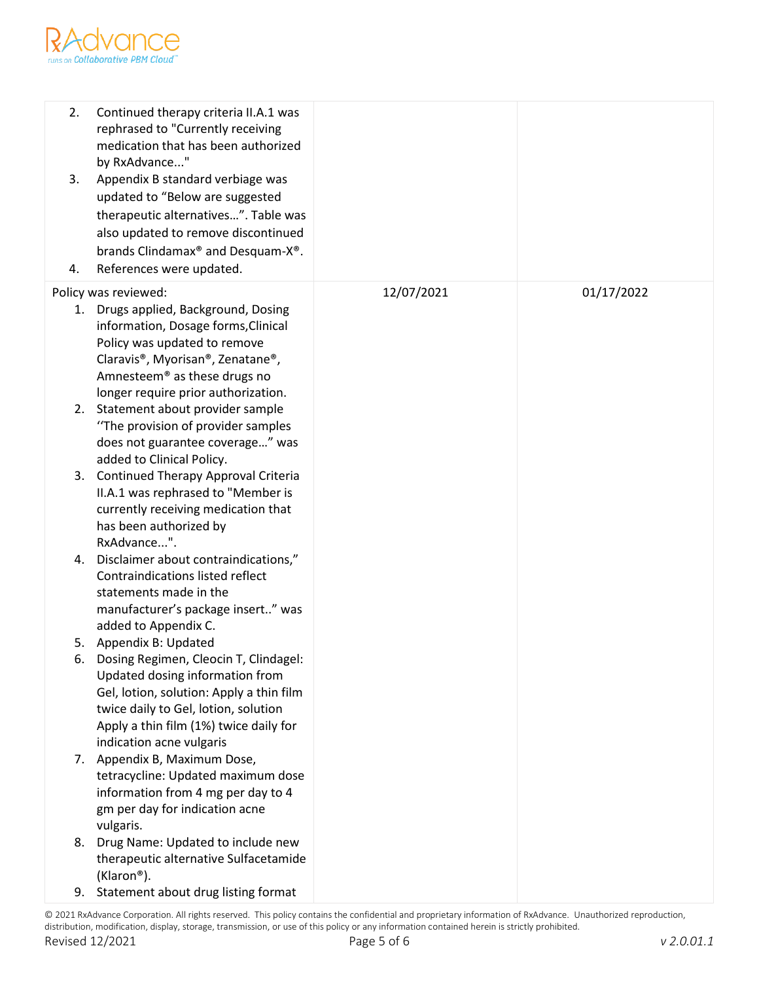

| 2.<br>3.<br>4. | Continued therapy criteria II.A.1 was<br>rephrased to "Currently receiving<br>medication that has been authorized<br>by RxAdvance"<br>Appendix B standard verbiage was<br>updated to "Below are suggested<br>therapeutic alternatives". Table was<br>also updated to remove discontinued<br>brands Clindamax® and Desquam-X®.<br>References were updated. |            |            |
|----------------|-----------------------------------------------------------------------------------------------------------------------------------------------------------------------------------------------------------------------------------------------------------------------------------------------------------------------------------------------------------|------------|------------|
|                | Policy was reviewed:                                                                                                                                                                                                                                                                                                                                      | 12/07/2021 | 01/17/2022 |
| 1.             | Drugs applied, Background, Dosing                                                                                                                                                                                                                                                                                                                         |            |            |
|                | information, Dosage forms, Clinical<br>Policy was updated to remove                                                                                                                                                                                                                                                                                       |            |            |
|                | Claravis®, Myorisan®, Zenatane®,                                                                                                                                                                                                                                                                                                                          |            |            |
|                | Amnesteem <sup>®</sup> as these drugs no                                                                                                                                                                                                                                                                                                                  |            |            |
|                | longer require prior authorization.                                                                                                                                                                                                                                                                                                                       |            |            |
| 2.             | Statement about provider sample                                                                                                                                                                                                                                                                                                                           |            |            |
|                | "The provision of provider samples"                                                                                                                                                                                                                                                                                                                       |            |            |
|                | does not guarantee coverage" was                                                                                                                                                                                                                                                                                                                          |            |            |
| 3.             | added to Clinical Policy.<br>Continued Therapy Approval Criteria                                                                                                                                                                                                                                                                                          |            |            |
|                | II.A.1 was rephrased to "Member is                                                                                                                                                                                                                                                                                                                        |            |            |
|                | currently receiving medication that                                                                                                                                                                                                                                                                                                                       |            |            |
|                | has been authorized by                                                                                                                                                                                                                                                                                                                                    |            |            |
|                | RxAdvance".                                                                                                                                                                                                                                                                                                                                               |            |            |
|                | 4. Disclaimer about contraindications,"                                                                                                                                                                                                                                                                                                                   |            |            |
|                | Contraindications listed reflect                                                                                                                                                                                                                                                                                                                          |            |            |
|                | statements made in the<br>manufacturer's package insert" was                                                                                                                                                                                                                                                                                              |            |            |
|                | added to Appendix C.                                                                                                                                                                                                                                                                                                                                      |            |            |
|                | 5. Appendix B: Updated                                                                                                                                                                                                                                                                                                                                    |            |            |
| ь.             | Dosing Regimen, Cleocin T, Clindagel:                                                                                                                                                                                                                                                                                                                     |            |            |
|                | Updated dosing information from                                                                                                                                                                                                                                                                                                                           |            |            |
|                | Gel, lotion, solution: Apply a thin film                                                                                                                                                                                                                                                                                                                  |            |            |
|                | twice daily to Gel, lotion, solution                                                                                                                                                                                                                                                                                                                      |            |            |
|                | Apply a thin film (1%) twice daily for                                                                                                                                                                                                                                                                                                                    |            |            |
|                | indication acne vulgaris<br>7. Appendix B, Maximum Dose,                                                                                                                                                                                                                                                                                                  |            |            |
|                | tetracycline: Updated maximum dose                                                                                                                                                                                                                                                                                                                        |            |            |
|                | information from 4 mg per day to 4                                                                                                                                                                                                                                                                                                                        |            |            |
|                | gm per day for indication acne                                                                                                                                                                                                                                                                                                                            |            |            |
|                | vulgaris.                                                                                                                                                                                                                                                                                                                                                 |            |            |
| 8.             | Drug Name: Updated to include new                                                                                                                                                                                                                                                                                                                         |            |            |
|                | therapeutic alternative Sulfacetamide                                                                                                                                                                                                                                                                                                                     |            |            |
|                | (Klaron®).                                                                                                                                                                                                                                                                                                                                                |            |            |
| 9.             | Statement about drug listing format                                                                                                                                                                                                                                                                                                                       |            |            |

© 2021 RxAdvance Corporation. All rights reserved. This policy contains the confidential and proprietary information of RxAdvance. Unauthorized reproduction, distribution, modification, display, storage, transmission, or use of this policy or any information contained herein is strictly prohibited.